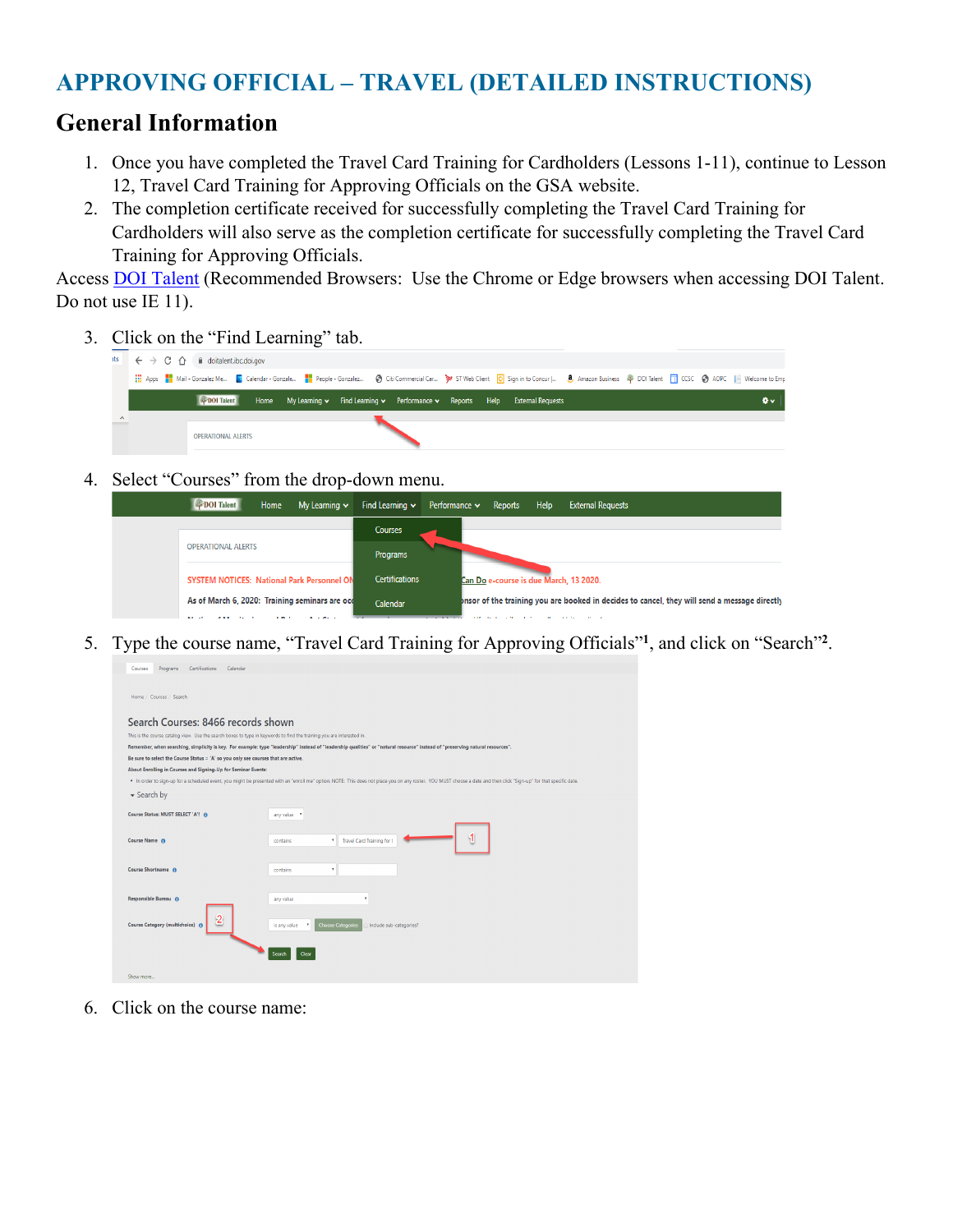### **APPROVING OFFICIAL – TRAVEL (DETAILED INSTRUCTIONS)**

#### **General Information**

- 1. Once you have completed the Travel Card Training for Cardholders (Lessons 1-11), continue to Lesson 12, Travel Card Training for Approving Officials on the GSA website.
- 2. The completion certificate received for successfully completing the Travel Card Training for Cardholders will also serve as the completion certificate for successfully completing the Travel Card Training for Approving Officials.

Access **DOI Talent** (Recommended Browsers: Use the Chrome or Edge browsers when accessing DOI Talent. Do not use IE 11).

3. Click on the "Find Learning" tab.

| <b>its</b> |  | $\begin{array}{ c c c c c }\hline \begin{array}{c} \end{array} & \end{array} \begin{array}{c} \end{array} \begin{array}{c} \end{array}$ $\begin{array}{c} \end{array}$ $\begin{array}{c} \end{array}$ doitalent.ibc.doi.gov |  |  |  |  |                                                                                 |                                                                                                                                                                                                     |  |    |
|------------|--|-----------------------------------------------------------------------------------------------------------------------------------------------------------------------------------------------------------------------------|--|--|--|--|---------------------------------------------------------------------------------|-----------------------------------------------------------------------------------------------------------------------------------------------------------------------------------------------------|--|----|
|            |  |                                                                                                                                                                                                                             |  |  |  |  |                                                                                 | Apps <b>Fo</b> Mail Gonzalez Me <b>E</b> Calendar Gonzale People Gonzalez S Citi Commercial Car S ST Web Client C Sign in to Concur   8, Amazon Business @ DOITalent TT CCSC 3 AOPC   Welcome to Em |  |    |
|            |  | <b>EXPOI</b> Talent                                                                                                                                                                                                         |  |  |  |  | Home My Learning v Find Learning v Performance v Reports Help External Requests |                                                                                                                                                                                                     |  | ð۰ |
| $\wedge$   |  |                                                                                                                                                                                                                             |  |  |  |  |                                                                                 |                                                                                                                                                                                                     |  |    |
|            |  | <b>OPERATIONAL ALERTS</b>                                                                                                                                                                                                   |  |  |  |  |                                                                                 |                                                                                                                                                                                                     |  |    |

4. Select "Courses" from the drop-down menu.

| DOI Talent                                        | Home              | My Learning $\sim$ | Find Learning $\vee$  | Performance $\sim$ | Reports | Help         | <b>External Requests</b>                                                                     |
|---------------------------------------------------|-------------------|--------------------|-----------------------|--------------------|---------|--------------|----------------------------------------------------------------------------------------------|
|                                                   |                   |                    | <b>Courses</b>        |                    |         |              |                                                                                              |
| <b>OPERATIONAL ALERTS</b>                         |                   | Programs           |                       |                    |         |              |                                                                                              |
| <b>SYSTEM NOTICES: National Park Personnel ON</b> |                   |                    | <b>Certifications</b> |                    |         |              | Can Do e-course is due March, 13 2020.                                                       |
| As of March 6, 2020: Training seminars are occ    |                   |                    | Calendar              |                    |         |              | bnsor of the training you are booked in decides to cancel, they will send a message directly |
|                                                   | <b><i>BOY</i></b> | 8.187              |                       | 110                |         | $\mathbf{r}$ | <b>CONTRACTOR</b>                                                                            |

5. Type the course name, "Travel Card Training for Approving Officials"**<sup>1</sup>**, and click on "Search"**<sup>2</sup>** .

| <b>I</b> LONG MILLS<br><b>CALIFORNIA CONTRACTOR</b>                                                                   |                                                                                                                                                                                                                      |  |  |  |  |  |  |
|-----------------------------------------------------------------------------------------------------------------------|----------------------------------------------------------------------------------------------------------------------------------------------------------------------------------------------------------------------|--|--|--|--|--|--|
| Home / Courses / Search                                                                                               |                                                                                                                                                                                                                      |  |  |  |  |  |  |
| Search Courses: 8466 records shown                                                                                    |                                                                                                                                                                                                                      |  |  |  |  |  |  |
| This is the course catalog view. Use the search boxes to type in keywords to find the training you are interested in. |                                                                                                                                                                                                                      |  |  |  |  |  |  |
|                                                                                                                       | Remember, when searching, simplicity is key. For example: type "leadership" instead of "leadership qualities" or "natural resource" instead of "preserving natural resources".                                       |  |  |  |  |  |  |
| Be sure to select the Course Status = 'A' so you only see courses that are active.                                    |                                                                                                                                                                                                                      |  |  |  |  |  |  |
| About Enrolling in Courses and Signing-Up for Seminar Events:                                                         |                                                                                                                                                                                                                      |  |  |  |  |  |  |
|                                                                                                                       | . In order to sign-up for a scheduled event, you might be presented with an "enroll me" option. NOTE: This does not place you on any roster. YOU MUST choose a date and then click "Sign-up" for that specific date. |  |  |  |  |  |  |
| $\blacktriangleright$ Search by                                                                                       |                                                                                                                                                                                                                      |  |  |  |  |  |  |
| Course Status: MUST SELECT 'A'! @                                                                                     | any value *                                                                                                                                                                                                          |  |  |  |  |  |  |
| Course Name @                                                                                                         | Travel Card Training for C<br>$\mathbf{v}$<br>contains                                                                                                                                                               |  |  |  |  |  |  |
| Course Shortname @                                                                                                    | ٠.<br>contains                                                                                                                                                                                                       |  |  |  |  |  |  |
| Responsible Bureau @                                                                                                  | any value<br>٠                                                                                                                                                                                                       |  |  |  |  |  |  |
| $\overline{2}$<br>Course Category (multichoice) @                                                                     | <b>Choose Categories</b><br>is any value<br>Include sub-categories?<br>×                                                                                                                                             |  |  |  |  |  |  |
|                                                                                                                       | Search<br>Clear                                                                                                                                                                                                      |  |  |  |  |  |  |
| Show more                                                                                                             |                                                                                                                                                                                                                      |  |  |  |  |  |  |

6. Click on the course name: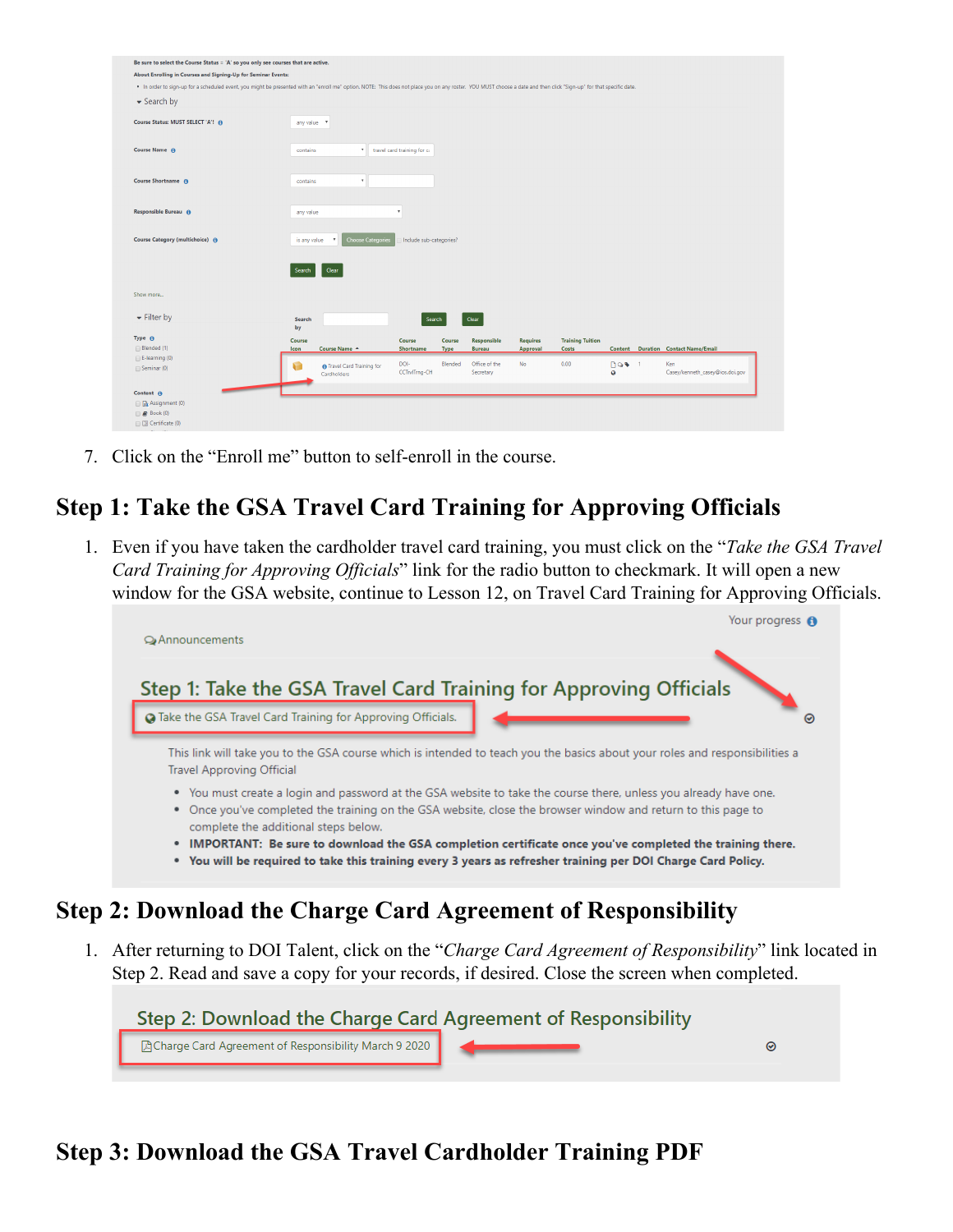| Be sure to select the Course Status = 'A' so you only see courses that are active.                                                                                                                                   |              |                                    |                             |         |               |                 |                         |              |                                     |
|----------------------------------------------------------------------------------------------------------------------------------------------------------------------------------------------------------------------|--------------|------------------------------------|-----------------------------|---------|---------------|-----------------|-------------------------|--------------|-------------------------------------|
|                                                                                                                                                                                                                      |              |                                    |                             |         |               |                 |                         |              |                                     |
| About Enrolling in Courses and Signing-Up for Seminar Events:                                                                                                                                                        |              |                                    |                             |         |               |                 |                         |              |                                     |
| . In order to sign-up for a scheduled event, you might be presented with an "enroll me" option. NOTE: This does not place you on any roster. YOU MUST choose a date and then click "Sign-up" for that specific date. |              |                                    |                             |         |               |                 |                         |              |                                     |
| Search by                                                                                                                                                                                                            |              |                                    |                             |         |               |                 |                         |              |                                     |
|                                                                                                                                                                                                                      |              |                                    |                             |         |               |                 |                         |              |                                     |
| Course Status: MUST SELECT 'A'! @                                                                                                                                                                                    | any value v  |                                    |                             |         |               |                 |                         |              |                                     |
|                                                                                                                                                                                                                      |              |                                    |                             |         |               |                 |                         |              |                                     |
|                                                                                                                                                                                                                      |              |                                    |                             |         |               |                 |                         |              |                                     |
| Course Name <sup>O</sup>                                                                                                                                                                                             | contains     | $\boldsymbol{\mathrm{v}}$          | travel card training for ca |         |               |                 |                         |              |                                     |
|                                                                                                                                                                                                                      |              |                                    |                             |         |               |                 |                         |              |                                     |
| Course Shortname @                                                                                                                                                                                                   | contains     | $\mathbf{v}$                       |                             |         |               |                 |                         |              |                                     |
|                                                                                                                                                                                                                      |              |                                    |                             |         |               |                 |                         |              |                                     |
|                                                                                                                                                                                                                      |              |                                    |                             |         |               |                 |                         |              |                                     |
| Responsible Bureau @                                                                                                                                                                                                 | any value    |                                    |                             |         |               |                 |                         |              |                                     |
|                                                                                                                                                                                                                      |              |                                    |                             |         |               |                 |                         |              |                                     |
|                                                                                                                                                                                                                      |              |                                    |                             |         |               |                 |                         |              |                                     |
|                                                                                                                                                                                                                      |              |                                    |                             |         |               |                 |                         |              |                                     |
| Course Category (multichoice) @                                                                                                                                                                                      | is any value | <b>Choose Categories</b><br>$\tau$ | Include sub-categories?     |         |               |                 |                         |              |                                     |
|                                                                                                                                                                                                                      |              |                                    |                             |         |               |                 |                         |              |                                     |
|                                                                                                                                                                                                                      |              |                                    |                             |         |               |                 |                         |              |                                     |
|                                                                                                                                                                                                                      | Search       | Clear                              |                             |         |               |                 |                         |              |                                     |
|                                                                                                                                                                                                                      |              |                                    |                             |         |               |                 |                         |              |                                     |
|                                                                                                                                                                                                                      |              |                                    |                             |         |               |                 |                         |              |                                     |
|                                                                                                                                                                                                                      |              |                                    |                             |         |               |                 |                         |              |                                     |
|                                                                                                                                                                                                                      | Search       |                                    | Search                      |         | Clear         |                 |                         |              |                                     |
|                                                                                                                                                                                                                      | by           |                                    |                             |         |               |                 |                         |              |                                     |
|                                                                                                                                                                                                                      | Course       |                                    | Course                      | Course  | Responsible   | <b>Requires</b> | <b>Training Tuition</b> |              |                                     |
|                                                                                                                                                                                                                      | <b>Icon</b>  | Course Name A                      | Shortname                   | Type    | <b>Bureau</b> | Approval        | <b>Costs</b>            |              | Content Duration Contact Name/Email |
|                                                                                                                                                                                                                      | v.           | <b>n</b> Travel Card Training for  | DOI-                        | Blended | Office of the | No.             | 0.00                    | <b>DQ+</b> 1 | Ken                                 |
|                                                                                                                                                                                                                      |              | Cardholders                        | CCTrvITrng-CH               |         | Secretary     |                 |                         | ø            | Casey/kenneth_casey@ios.doi.gov     |
|                                                                                                                                                                                                                      |              |                                    |                             |         |               |                 |                         |              |                                     |
|                                                                                                                                                                                                                      |              |                                    |                             |         |               |                 |                         |              |                                     |
| Show more<br>$\blacktriangleright$ Filter by<br>Type <sup>O</sup><br>Blended (1)<br>E-learning (0)<br>Seminar (0)<br>Content A<br><b>B</b> Assignment (0)<br>$\Box$ Book (0)                                         |              |                                    |                             |         |               |                 |                         |              |                                     |

7. Click on the "Enroll me" button to self-enroll in the course.

# **Step 1: Take the GSA Travel Card Training for Approving Officials**

1. Even if you have taken the cardholder travel card training, you must click on the "*Take the GSA Travel Card Training for Approving Officials*" link for the radio button to checkmark. It will open a new window for the GSA website, continue to Lesson 12, on Travel Card Training for Approving Officials.



1. After returning to DOI Talent, click on the "*Charge Card Agreement of Responsibility*" link located in Step 2. Read and save a copy for your records, if desired. Close the screen when completed.



## **Step 3: Download the GSA Travel Cardholder Training PDF**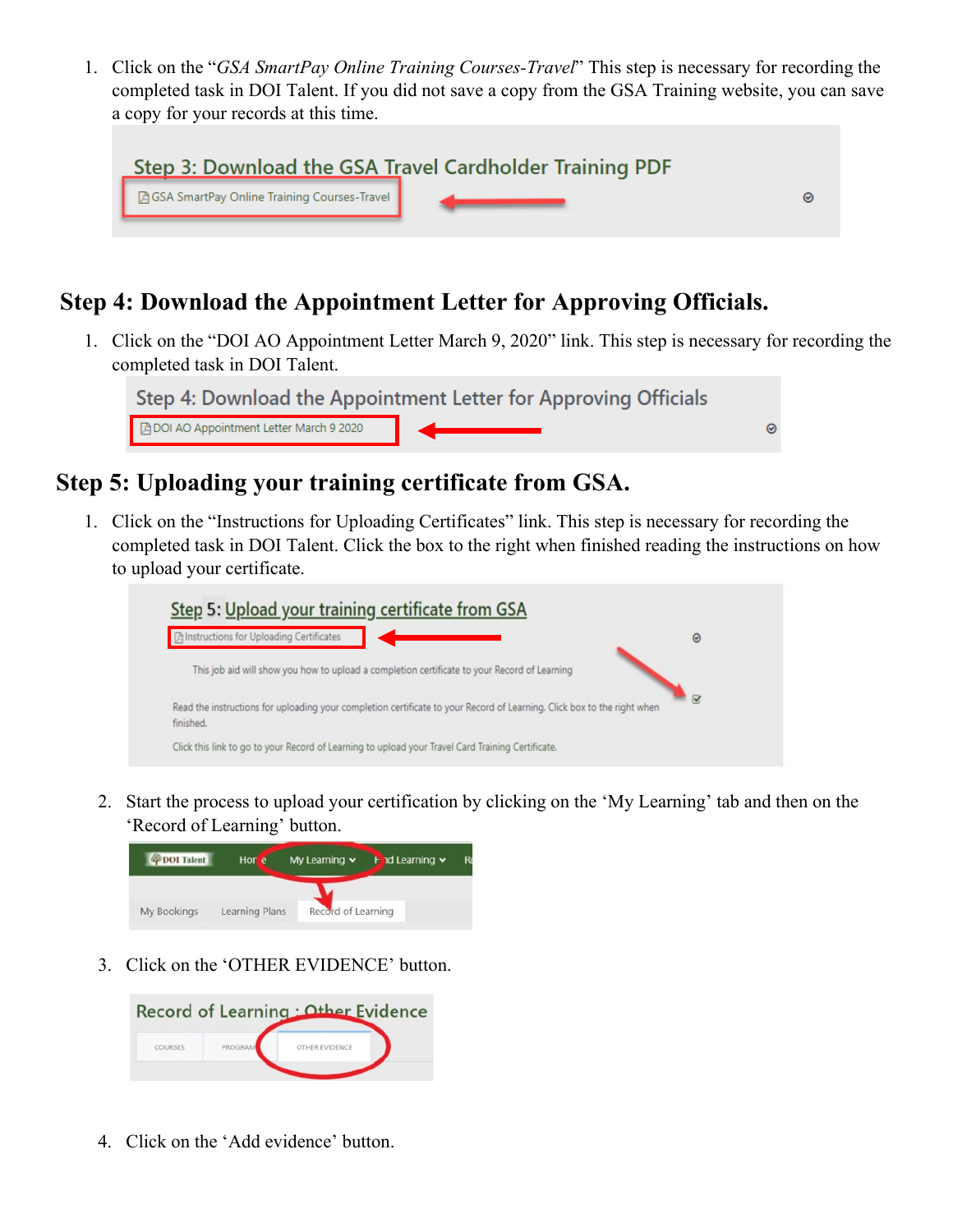1. Click on the "*GSA SmartPay Online Training Courses-Travel*" This step is necessary for recording the completed task in DOI Talent. If you did not save a copy from the GSA Training website, you can save a copy for your records at this time.

|                                                      | Step 3: Download the GSA Travel Cardholder Training PDF |  |
|------------------------------------------------------|---------------------------------------------------------|--|
| <b>A GSA SmartPay Online Training Courses-Travel</b> |                                                         |  |
|                                                      |                                                         |  |

### **Step 4: Download the Appointment Letter for Approving Officials.**

1. Click on the "DOI AO Appointment Letter March 9, 2020" link. This step is necessary for recording the completed task in DOI Talent.



### **Step 5: Uploading your training certificate from GSA.**

1. Click on the "Instructions for Uploading Certificates" link. This step is necessary for recording the completed task in DOI Talent. Click the box to the right when finished reading the instructions on how to upload your certificate.



2. Start the process to upload your certification by clicking on the 'My Learning' tab and then on the 'Record of Learning' button.



3. Click on the 'OTHER EVIDENCE' button.



4. Click on the 'Add evidence' button.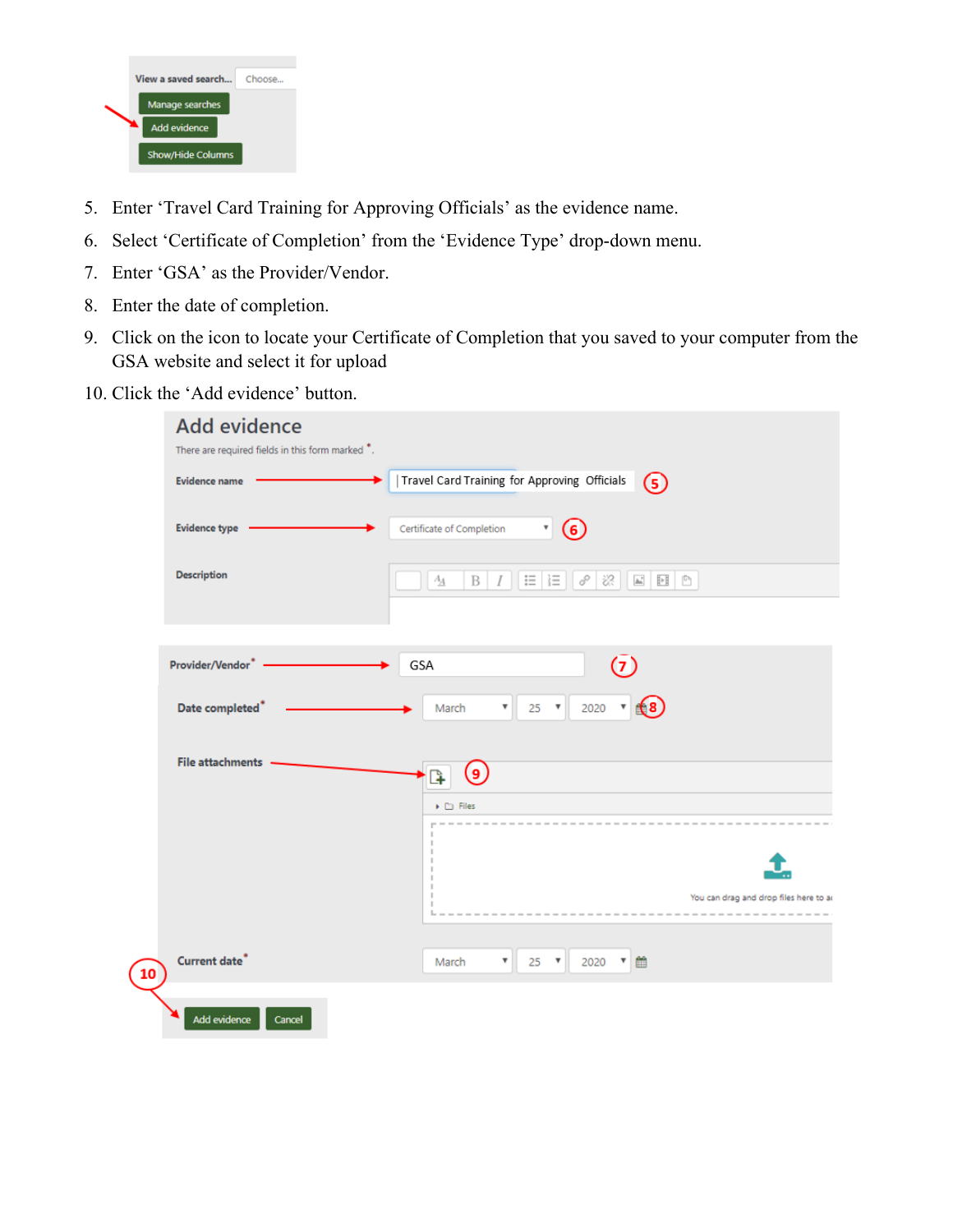

- 5. Enter 'Travel Card Training for Approving Officials' as the evidence name.
- 6. Select 'Certificate of Completion' from the 'Evidence Type' drop-down menu.
- 7. Enter 'GSA' as the Provider/Vendor.
- 8. Enter the date of completion.
- 9. Click on the icon to locate your Certificate of Completion that you saved to your computer from the GSA website and select it for upload
- 10. Click the 'Add evidence' button.

|    | <b>Add evidence</b>                              |                                                                                             |
|----|--------------------------------------------------|---------------------------------------------------------------------------------------------|
|    | There are required fields in this form marked *. |                                                                                             |
|    | <b>Evidence name</b>                             | Travel Card Training for Approving Officials<br>$(5)$                                       |
|    | Evidence type .                                  | Certificate of Completion<br>$\overline{\mathbf{r}}$<br>(6)                                 |
|    | Description                                      | 三 三<br>$\sigma$<br>$\frac{1}{2}$<br>$A_{\underline{A}}$<br>$\, {\bf B}$<br>$\boldsymbol{I}$ |
|    |                                                  |                                                                                             |
|    | Provider/Vendor*                                 | $\circ$<br>GSA                                                                              |
|    | Date completed <sup>*</sup>                      | $25$ $\bullet$<br>2020 $\times$ 68<br>March<br>v                                            |
|    | File attachments -                               | (၅)<br>þ                                                                                    |
|    |                                                  | $\blacktriangleright$ $\square$ Files                                                       |
|    |                                                  |                                                                                             |
|    |                                                  |                                                                                             |
|    |                                                  | You can drag and drop files here to as<br>------------                                      |
|    |                                                  |                                                                                             |
| 10 | <b>Current date<sup>*</sup></b>                  | $\mathbf{v}$ 25 $\mathbf{v}$<br>2020 ▼ 曲<br>March                                           |
|    | Add evidence<br>Cancel                           |                                                                                             |